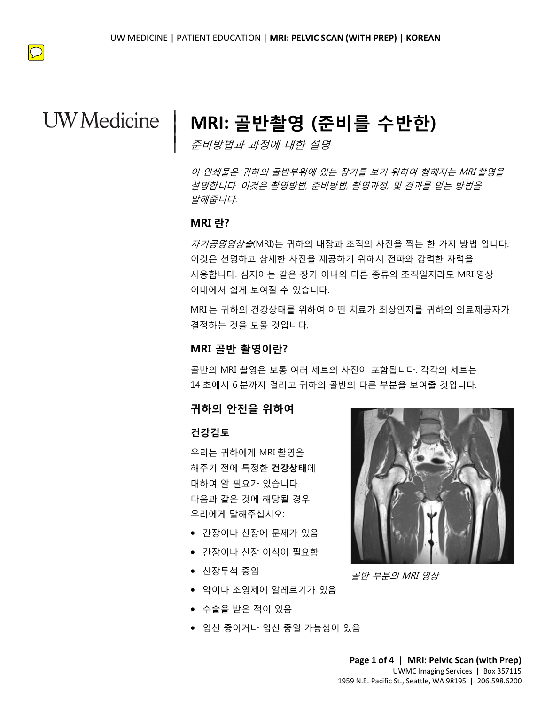

 $\boxed{\bigcirc}$ 

# **MRI: 골반촬영 (준비를 수반한)**

준비방법과 과정에 대한 설명

*말해줍니다.*<br>MRI 란?<br>*지기고며여사숙*(MRI)는 긔칩이 내자과 조지이 샤지은 찌느 하 가지 바버 이 이 인쇄물은 귀하의 골반부위에 있는 장기를 보기 위하여 행해지는 MRI 촬영을 설명합니다. 이것은 촬영방법, 준비방법, 촬영과정, 및 결과를 얻는 방법을 말해줍니다.

### **MRI 란?**

|  $\vert$  $\vert$  $\vert$ 

> 자기공명영상술(MRI)는 귀하의 내장과 조직의 사진을 찍는 한 가지 방법 입니다. 이것은 선명하고 상세한 사진을 제공하기 위해서 전파와 강력한 자력을 사용합니다. 심지어는 같은 장기 이내의 다른 종류의 조직일지라도 MRI 영상 이내에서 쉽게 보여질 수 있습니다.

이내에서 쉽게 보여질 수 있습니다.<br>MRI 는 귀하의 건강상태를 위하여 어떤 치료가 최상인지를 귀하의 의료저<br>결정하는 것을 도울 것입니다.<br>**MRI 골반 촬영이란?**<br>골반의 MRI 촬영은 보통 여러 세트의 사진이 포함됩니다. 각각의 세트는<br>골반의 MRI 촬영은 보통 여러 세트의 사진이 포함됩니다. 각각의 세트는<br>14 초에서 6 분까지 걸리고 귀하의 골반의 다른 부분을 보여줄 것입니다. MRI 는 귀하의 건강상태를 위하여 어떤 치료가 최상인지를 귀하의 의료제공자가 결정하는 것을 도울 것입니다.

### **MRI 골반 촬영이란?**

골반의 MRI 촬영은 보통 여러 세트의 사진이 포함됩니다. 각각의 세트는 14 초에서 6 분까지 걸리고 귀하의 골반의 다른 부분을 보여줄 것입니다.

### **귀하의 안전을 위하여**

#### **건강검토**

우리는 귀하에게 MRI 촬영을 해주기 전에 특정한 **건강상태**에 대하여 알 필요가 있습니다. 다음과 같은 것에 해당될 경우 우리에게 말해주십시오:

- 간장이나 신장에 문제가 있음
- 간장이나 신장 이식이 필요함
- 신장투석 중임
- 약이나 조영제에 알레르기가 있음
- 수술을 받은 적이 있음
- 임신 중이거나 임신 중일 가능성이 있음



골반 부분의 MRI 영상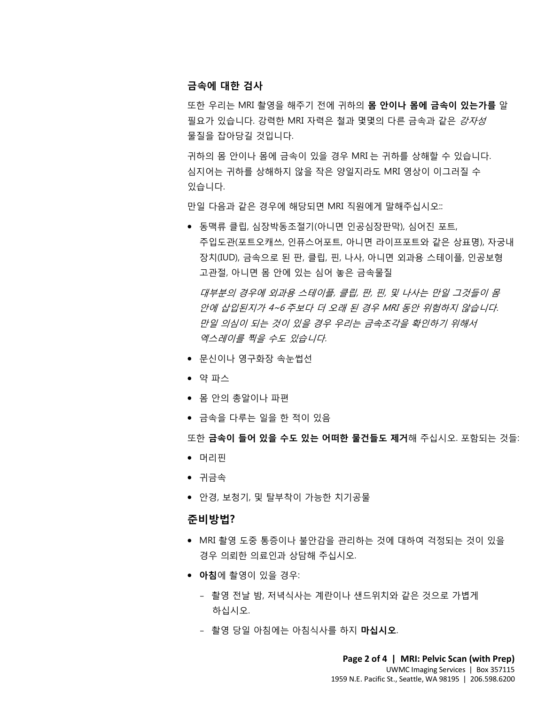#### **금속에 대한 검사**

또한 우리는 MRI 촬영을 해주기 전에 귀하의 **몸 안이나 몸에 금속이 있는가를** 알 필요가 있습니다. 강력한 MRI 자력은 철과 몇몇의 다른 금속과 같은 *강자성* 물질을 잡아당길 것입니다.

귀하의 몸 안이나 몸에 금속이 있을 경우 MRI 는 귀하를 상해할 수 있습니다. 심지어는 귀하를 상해하지 않을 작은 양일지라도 MRI 영상이 이그러질 수 있습니다.

만일 다음과 같은 경우에 해당되면 MRI 직원에게 말해주십시오::

만일 다음과 같은 경우에 해당되면 MRI 직원에게 말해주십시오::<br>● 동맥류 클립, 심장박동조절기(아니면 인공심장판막), 심어진 포트,<br>주입도관(포트오캐쓰, 인퓨스어포트, 아니면 라이프포트와 같은 상표명), 자궁<br>지치(자) 그 4.0ㅋ 되고, 그것 그 남성 없님면 없일요. : 돼있풀 입고요. • 동맥류 클립, 심장박동조절기(아니면 인공심장판막), 심어진 포트, 주입도관(포트오캐쓰, 인퓨스어포트, 아니면 라이프포트와 같은 상표명), 자궁내 장치(IUD), 금속으로 된 판, 클립, 핀, 나사, 아니면 외과용 스테이플, 인공보형 고관절, 아니면 몸 안에 있는 심어 놓은 금속물질

대부분의 경우에 외과용 스테이플, 클립, 판, 핀, 및 나사는 만일 그것들이 몸<br>안에 삽입된지가 4~6 주보다 더 오래 된 경우 MRI 동안 위험하지 않습니다.<br>만일 의심이 되는 것이 있을 경우 우리는 금속조각을 확인하기 위해서<br>엑스레이를 찍을 수도 있습니다.<br>• 문신이나 영구화장 속눈썹선 DRAFT 대부분의 경우에 외과용 스테이플, 클립, 판, 핀, 및 나사는 만일 그것들이 몸 안에 삽입된지가 4~6 주보다 더 오래 된 경우 MRI 동안 위험하지 않습니다. 만일 의심이 되는 것이 있을 경우 우리는 금속조각을 확인하기 위해서 엑스레이를 찍을 수도 있습니다.

- 문신이나 영구화장 속눈썹선
- 약 파스
- 몸 안의 총알이나 파편
- 금속을 다루는 일을 한 적이 있음

또한 **금속이 들어 있을 수도 있는 어떠한 물건들도 제거**해 주십시오. 포함되는 것들:

- 머리핀
- 귀금속
- 안경, 보청기, 및 탈부착이 가능한 치기공물

#### **준비방법?**

- MRI 촬영 도중 통증이나 불안감을 관리하는 것에 대하여 걱정되는 것이 있을 경우 의뢰한 의료인과 상담해 주십시오.
- **아침**에 촬영이 있을 경우:
	- 촬영 전날 밤, 저녁식사는 계란이나 샌드위치와 같은 것으로 가볍게 하십시오.
	- 촬영 당일 아침에는 아침식사를 하지 **마십시오**.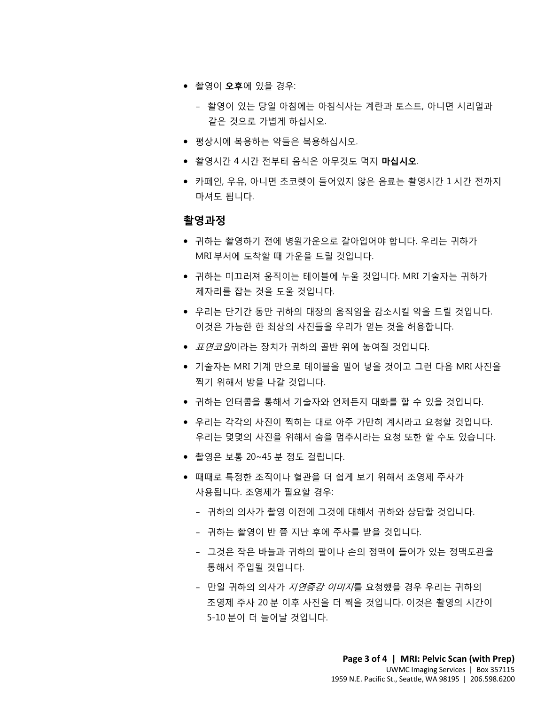- 촬영이 **오후**에 있을 경우:
	- 촬영이 있는 당일 아침에는 아침식사는 계란과 토스트, 아니면 시리얼과 같은 것으로 가볍게 하십시오.
- 평상시에 복용하는 약들은 복용하십시오.
- 촬영시간 4 시간 전부터 음식은 아무것도 먹지 **마십시오**.
- 카페인, 우유, 아니면 초코렛이 들어있지 않은 음료는 촬영시간 1 시간 전까지 마셔도 됩니다.

### **촬영과정**

- **촬영과정**<br>● 귀하는 촬영하기 전에 병원가운으로 갈아입어야 합니다. 우리는 귀하가<br>- ART 보님에 도착한 때 깊으을 드릴 같이 나다 • 귀하는 촬영하기 전에 병원가운으로 갈아입어야 합니다. 우리는 귀하가 MRI 부서에 도착할 때 가운을 드릴 것입니다.
	- 귀하는 미끄러져 움직이는 테이블에 누울 것입니다. MRI 기술자는 귀하가 제자리를 잡는 것을 도울 것입니다.
	- 우리는 단기간 동안 귀하의 대장의 움직임을 감소시킬 약을 드릴 것입니다. 이것은 가능한 한 최상의 사진들을 우리가 얻는 것을 허용합니다.
	- *표면코일*이라는 장치가 귀하의 골반 위에 놓여질 것입니다.
	- DRAFT " 1 1 1 0 0 0 0 0 0 0 0 1 1 1 0<br>● 우리는 단기간 동안 귀하의 대장의 움직임을 감소시킬 약을 드릴 것입니다<br>이것은 가능한 한 최상의 사진들을 우리가 얻는 것을 허용합니다.<br>● *표면코일*이라는 장치가 귀하의 골반 위에 놓여질 것입니다.<br>● 기술자는 MRI 기계 안으로 테이블을 밀어 넣을 것이고 그런 다음 MRI 사진<br>찍기 위해서 방을 나갈 것입니다.<br>● 귀하는 이터콘 • 기술자는 MRI 기계 안으로 테이블을 밀어 넣을 것이고 그런 다음 MRI 사진을 찍기 위해서 방을 나갈 것입니다.
		- 귀하는 인터콤을 통해서 기술자와 언제든지 대화를 할 수 있을 것입니다.
		- 우리는 각각의 사진이 찍히는 대로 아주 가만히 계시라고 요청할 것입니다. 우리는 몇몇의 사진을 위해서 숨을 멈추시라는 요청 또한 할 수도 있습니다.
		- 촬영은 보통 20~45 분 정도 걸립니다.

- 때때로 특정한 조직이나 혈관을 더 쉽게 보기 위해서 조영제 주사가 사용됩니다. 조영제가 필요할 경우:
	- 귀하의 의사가 촬영 이전에 그것에 대해서 귀하와 상담할 것입니다.
	- 귀하는 촬영이 반 쯤 지난 후에 주사를 받을 것입니다.
	- 그것은 작은 바늘과 귀하의 팔이나 손의 정맥에 들어가 있는 정맥도관을 통해서 주입될 것입니다.
	- 만일 귀하의 의사가 지연증강 이미지를 요청했을 경우 우리는 귀하의 조영제 주사 20 분 이후 사진을 더 찍을 것입니다. 이것은 촬영의 시간이 5-10 분이 더 늘어날 것입니다.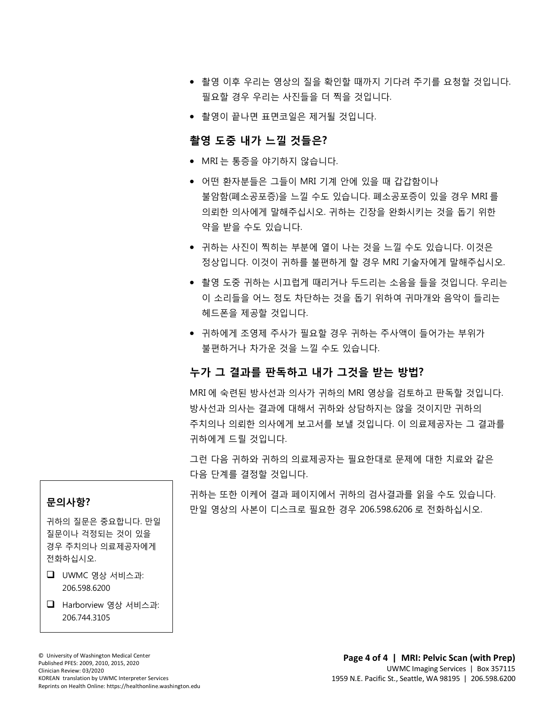- 촬영 이후 우리는 영상의 질을 확인할 때까지 기다려 주기를 요청할 것입니다. 필요할 경우 우리는 사진들을 더 찍을 것입니다.
- 촬영이 끝나면 표면코일은 제거될 것입니다.

### **촬영 도중 내가 느낄 것들은?**

- MRI 는 통증을 야기하지 않습니다.
- 의뢰한 의사에게 말해주십시오. 귀하는 긴장을 완화시키는 것을 돕기 위한<br>약을 받을 수도 있습니다.<br>● 귀하는 사진이 찍히는 부분에 열이 나는 것을 느낄 수도 있습니다. 이것은 • 어떤 환자분들은 그들이 MRI 기계 안에 있을 때 갑갑함이나 불암함(폐소공포증)을 느낄 수도 있습니다. 폐소공포증이 있을 경우 MRI 를 의뢰한 의사에게 말해주십시오. 귀하는 긴장을 완화시키는 것을 돕기 위한 약을 받을 수도 있습니다.
	- 정상입니다. 이것이 귀하를 불편하게 할 경우 MRI 기술자에게 말해주십시오.
	- 촬영 도중 귀하는 시끄럽게 때리거나 두드리는 소음을 들을 것입니다. 우리<br>이 소리들을 어느 정도 차단하는 것을 돕기 위하여 귀마개와 음악이 들리는<br>헤드폰을 제공할 것입니다.<br>• 귀하에게 조영제 주사가 필요할 경우 귀하는 주사액이 들어가는 부위가<br>불편하거나 차가운 것을 느낄 수도 있습니다.<br>**누가 그 결과를 판독하고 내가 그것을 받는 방법?** • 촬영 도중 귀하는 시끄럽게 때리거나 두드리는 소음을 들을 것입니다. 우리는 이 소리들을 어느 정도 차단하는 것을 돕기 위하여 귀마개와 음악이 들리는 헤드폰을 제공할 것입니다.
	- 이 소리들을 어느 정도 차단하는 것을 돕기 위하여 귀마개와 음악이 들리<br>헤드폰을 제공할 것입니다.<br>• 귀하에게 조영제 주사가 필요할 경우 귀하는 주사액이 들어가는 부위가<br>불편하거나 차가운 것을 느낄 수도 있습니다.<br><br>**누가 그 결과를 판독하고 내가 그것을 받는 방법?**<br>MRI 에 숙련된 방사선과 의사가 귀하의 MRI 영상을 검토하고 판독할 것입니 • 귀하에게 조영제 주사가 필요할 경우 귀하는 주사액이 들어가는 부위가 불편하거나 차가운 것을 느낄 수도 있습니다.

### **누가 그 결과를 판독하고 내가 그것을 받는 방법?**

 $\_$  ,  $\_$  ,  $\_$  ,  $\_$  ,  $\_$  ,  $\_$  ,  $\_$  ,  $\_$  ,  $\_$  ,  $\_$  ,  $\_$  ,  $\_$  ,  $\_$  ,  $\_$  ,  $\_$  ,  $\_$  ,  $\_$  ,  $\_$  ,  $\_$  ,  $\_$  ,  $\_$  ,  $\_$  ,  $\_$  ,  $\_$  ,  $\_$  ,  $\_$  ,  $\_$  ,  $\_$  ,  $\_$  ,  $\_$  ,  $\_$  ,  $\_$  ,  $\_$  ,  $\_$  ,  $\_$  ,  $\_$  ,  $\_$  ,

MRI 에 숙련된 방사선과 의사가 귀하의 MRI 영상을 검토하고 판독할 것입니다. 방사선과 의사는 결과에 대해서 귀하와 상담하지는 않을 것이지만 귀하의 주치의나 의뢰한 의사에게 보고서를 보낼 것입니다. 이 의료제공자는 그 결과를 귀하에게 드릴 것입니다.

그런 다음 귀하와 귀하의 의료제공자는 필요한대로 문제에 대한 치료와 같은 다음 단계를 결정할 것입니다.

귀하는 또한 이케어 결과 페이지에서 귀하의 검사결과를 읽을 수도 있습니다. 만일 영상의 사본이 디스크로 필요한 경우 206.598.6206 로 전화하십시오.

### **문의사항?**

귀하의 질문은 중요합니다. 만일 질문이나 걱정되는 것이 있을 경우 주치의나 의료제공자에게 전화하십시오.

### $\Box$  UWMC 영상 서비스과: 206.598.6200

 Harborview 영상 서비스과: 206.744.3105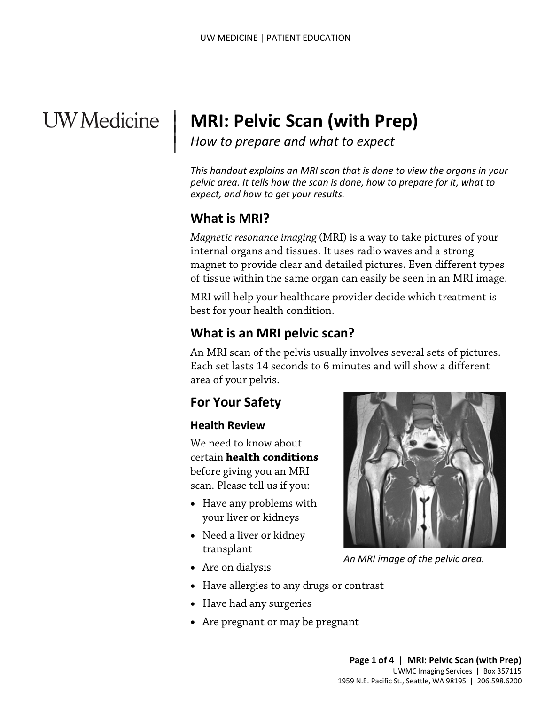# **UW** Medicine

# **MRI: Pelvic Scan (with Prep)**

*How to prepare and what to expect*

*This handout explains an MRI scan that is done to view the organs in your pelvic area. It tells how the scan is done, how to prepare for it, what to expect, and how to get your results.*

# **What is MRI?**

|  $\vert$  $\vert$  $\vert$ 

> *Magnetic resonance imaging* (MRI) is a way to take pictures of your internal organs and tissues. It uses radio waves and a strong magnet to provide clear and detailed pictures. Even different types of tissue within the same organ can easily be seen in an MRI image.

MRI will help your healthcare provider decide which treatment is best for your health condition.

# **What is an MRI pelvic scan?**

of tissue within the same organ can easily be seen in an MRI im<br>MRI will help your healthcare provider decide which treatment<br>best for your health condition.<br>**What is an MRI pelvic scan?**<br>An MRI scan of the pelvis usually An MRI scan of the pelvis usually involves several sets of pictures. Each set lasts 14 seconds to 6 minutes and will show a different area of your pelvis.

# **For Your Safety**

## **Health Review**

We need to know about certain **health conditions** before giving you an MRI scan. Please tell us if you:

- Have any problems with your liver or kidneys
- Need a liver or kidney transplant



*An MRI image of the pelvic area.*

- Are on dialysis
- Have allergies to any drugs or contrast
- Have had any surgeries
- Are pregnant or may be pregnant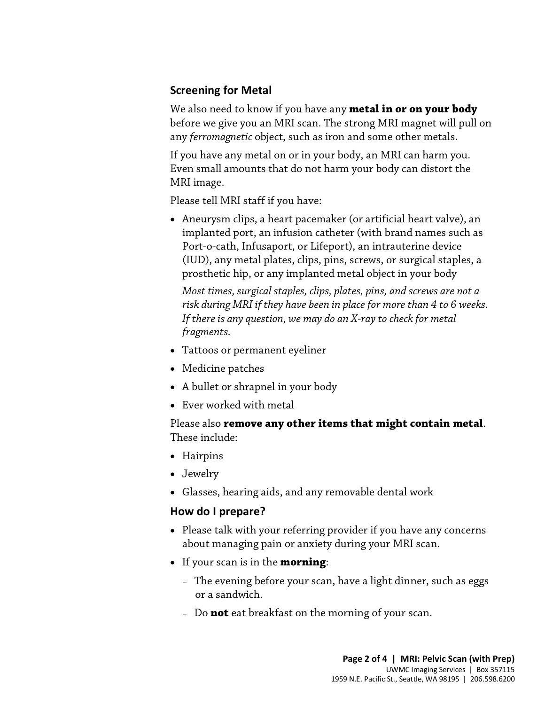## **Screening for Metal**

We also need to know if you have any **metal in or on your body** before we give you an MRI scan. The strong MRI magnet will pull on any *ferromagnetic* object, such as iron and some other metals.

If you have any metal on or in your body, an MRI can harm you. Even small amounts that do not harm your body can distort the MRI image.

Please tell MRI staff if you have:

• Aneurysm clips, a heart pacemaker (or artificial heart valve), an implanted port, an infusion catheter (with brand names such as Port-o-cath, Infusaport, or Lifeport), an intrauterine device (IUD), any metal plates, clips, pins, screws, or surgical staples, a prosthetic hip, or any implanted metal object in your body

Most times, surgical staples, clips, plates, pins, and screws are not a<br>risk during MRI if they have been in place for more than 4 to 6 weeks.<br>If there is any question, we may do an X-ray to check for metal<br>fragments.<br>• Ta *Most times, surgical staples, clips, plates, pins, and screws are not a risk during MRI if they have been in place for more than 4 to 6 weeks. If there is any question, we may do an X-ray to check for metal fragments.* 

- Tattoos or permanent eyeliner
- Medicine patches
- A bullet or shrapnel in your body
- Ever worked with metal

## Please also **remove any other items that might contain metal**. These include:

- Hairpins
- Jewelry
- Glasses, hearing aids, and any removable dental work

## **How do I prepare?**

- Please talk with your referring provider if you have any concerns about managing pain or anxiety during your MRI scan.
- If your scan is in the **morning**:
	- The evening before your scan, have a light dinner, such as eggs or a sandwich.
	- Do **not** eat breakfast on the morning of your scan.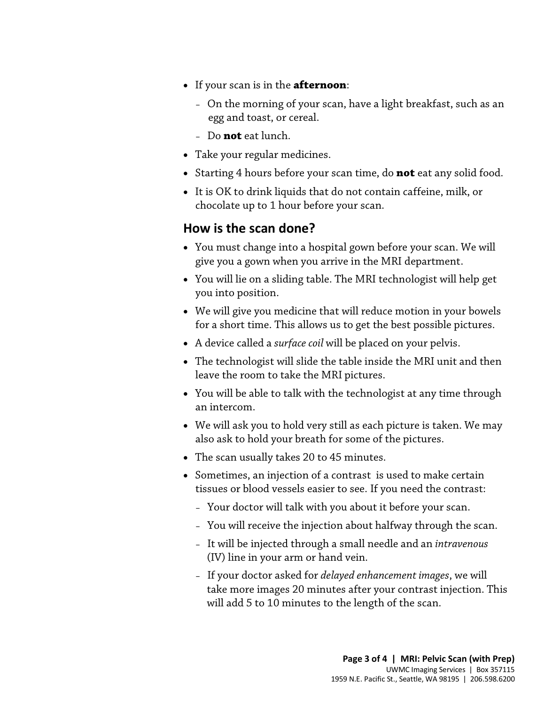- If your scan is in the **afternoon**:
	- On the morning of your scan, have a light breakfast, such as an egg and toast, or cereal.
	- Do **not** eat lunch.
- Take your regular medicines.
- Starting 4 hours before your scan time, do **not** eat any solid food.
- It is OK to drink liquids that do not contain caffeine, milk, or chocolate up to 1 hour before your scan.

## **How is the scan done?**

- You must change into a hospital gown before your scan. We will give you a gown when you arrive in the MRI department.
- You will lie on a sliding table. The MRI technologist will help get you into position.
- You win he on a shunig table. The MKI technologist win help get<br>you into position.<br>• We will give you medicine that will reduce motion in your bowels<br>for a short time. This allows us to get the best possible pictures.<br>• • We will give you medicine that will reduce motion in your bowels for a short time. This allows us to get the best possible pictures.
	- A device called a *surface coil* will be placed on your pelvis.
	- The technologist will slide the table inside the MRI unit and then leave the room to take the MRI pictures.
	- You will be able to talk with the [technologist](javascript:glossAry() at any time through an intercom.
	- We will ask you to hold very still as each picture is taken. We may also ask to hold your breath for some of the pictures.
	- The scan usually takes 20 to 45 minutes.

- Sometimes, an injection of a [contrast](javascript:glossAry() is used to make certain tissues or blood vessels easier to see. If you need the contrast:
	- Your doctor will talk with you about it before your scan.
	- You will receive the injection about halfway through the scan.
	- It will be injected through a small needle and an *intravenous* (IV) line in your arm or hand vein.
	- If your doctor asked for *delayed enhancement images*, we will take more images 20 minutes after your contrast injection. This will add 5 to 10 minutes to the length of the scan.